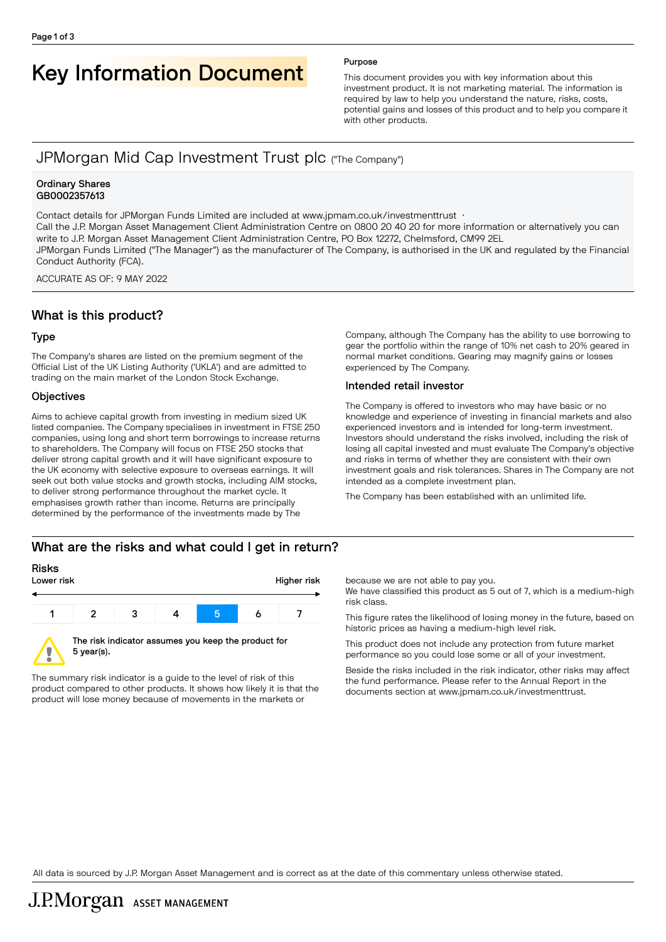# Key Information Document Purpose

This document provides you with key information about this investment product. It is not marketing material. The information is required by law to help you understand the nature, risks, costs, potential gains and losses of this product and to help you compare it with other products.

# JPMorgan Mid Cap Investment Trust plc ("The Company")

#### Ordinary Shares GB0002357613

Contact details for JPMorgan Funds Limited are included at www.jpmam.co.uk/investmenttrust · Call the J.P. Morgan Asset Management Client Administration Centre on 0800 20 40 20 for more information or alternatively you can write to J.P. Morgan Asset Management Client Administration Centre, PO Box 12272, Chelmsford, CM99 2EL JPMorgan Funds Limited ("The Manager") as the manufacturer of The Company, is authorised in the UK and regulated by the Financial Conduct Authority (FCA).

ACCURATE AS OF: 9 MAY 2022

# What is this product?

#### Type

The Company's shares are listed on the premium segment of the Official List of the UK Listing Authority ('UKLA') and are admitted to trading on the main market of the London Stock Exchange.

#### **Objectives**

Aims to achieve capital growth from investing in medium sized UK listed companies. The Company specialises in investment in FTSE 250 companies, using long and short term borrowings to increase returns to shareholders. The Company will focus on FTSE 250 stocks that deliver strong capital growth and it will have significant exposure to the UK economy with selective exposure to overseas earnings. It will seek out both value stocks and growth stocks, including AIM stocks, to deliver strong performance throughout the market cycle. It emphasises growth rather than income. Returns are principally determined by the performance of the investments made by The

gear the portfolio within the range of 10% net cash to 20% geared in normal market conditions. Gearing may magnify gains or losses experienced by The Company.

Company, although The Company has the ability to use borrowing to

### Intended retail investor

The Company is offered to investors who may have basic or no knowledge and experience of investing in financial markets and also experienced investors and is intended for long-term investment. Investors should understand the risks involved, including the risk of losing all capital invested and must evaluate The Company's objective and risks in terms of whether they are consistent with their own investment goals and risk tolerances. Shares in The Company are not intended as a complete investment plan.

The Company has been established with an unlimited life.

# What are the risks and what could I get in return?



The summary risk indicator is a guide to the level of risk of this product compared to other products. It shows how likely it is that the product will lose money because of movements in the markets or

because we are not able to pay you.

We have classified this product as 5 out of 7, which is a medium-high risk class.

This figure rates the likelihood of losing money in the future, based on historic prices as having a medium-high level risk.

This product does not include any protection from future market performance so you could lose some or all of your investment.

Beside the risks included in the risk indicator, other risks may affect the fund performance. Please refer to the Annual Report in the documents section at [www.jpmam.co.uk/investmenttrust.](www.jpmam.co.uk/investmenttrust)

All data is sourced by J.P. Morgan Asset Management and is correct as at the date of this commentary unless otherwise stated.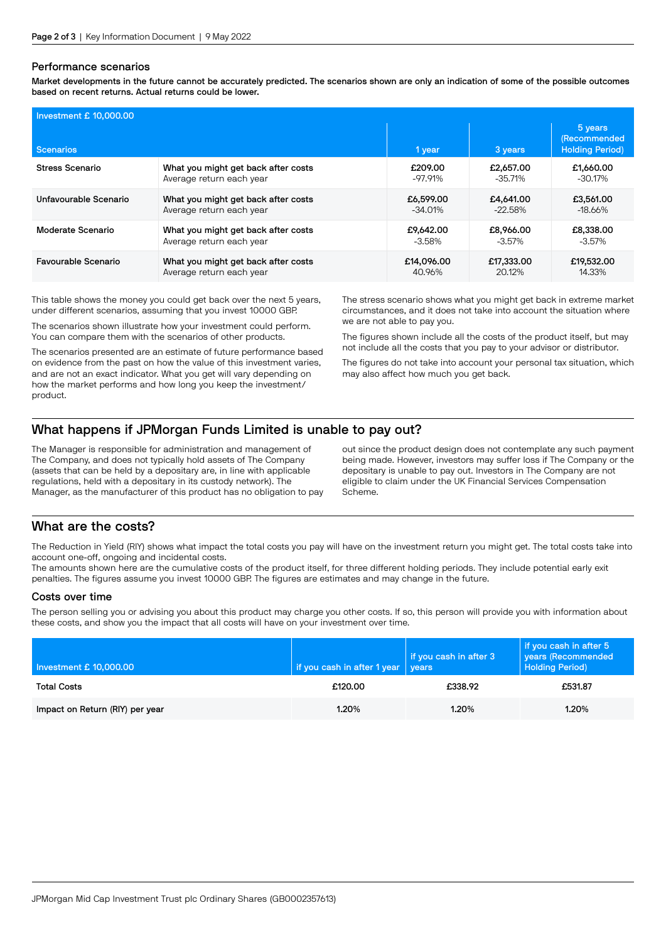#### Performance scenarios

Market developments in the future cannot be accurately predicted. The scenarios shown are only an indication of some of the possible outcomes based on recent returns. Actual returns could be lower.

| Investment £ 10,000.00     |                                     |            |            |                                                          |  |  |
|----------------------------|-------------------------------------|------------|------------|----------------------------------------------------------|--|--|
| <b>Scenarios</b>           |                                     | 1 year     | 3 years    | 5 years<br><b>(Recommended</b><br><b>Holding Period)</b> |  |  |
| Stress Scenario            | What you might get back after costs | £209.00    | £2,657,00  | £1,660.00                                                |  |  |
|                            | Average return each year            | $-97.91%$  | $-35.71%$  | $-30.17%$                                                |  |  |
| Unfavourable Scenario      | What you might get back after costs | £6,599.00  | £4.641.00  | £3,561,00                                                |  |  |
|                            | Average return each year            | $-34.01\%$ | $-22.58%$  | $-18.66%$                                                |  |  |
| Moderate Scenario          | What you might get back after costs | £9.642.00  | £8,966,00  | £8,338,00                                                |  |  |
|                            | Average return each year            | -3.58%     | $-3.57\%$  | $-3.57\%$                                                |  |  |
| <b>Favourable Scenario</b> | What you might get back after costs | £14,096.00 | £17,333,00 | £19,532.00                                               |  |  |
|                            | Average return each year            | 40.96%     | 20.12%     | 14.33%                                                   |  |  |

This table shows the money you could get back over the next 5 years, under different scenarios, assuming that you invest 10000 GBP.

The scenarios shown illustrate how your investment could perform. You can compare them with the scenarios of other products.

The scenarios presented are an estimate of future performance based on evidence from the past on how the value of this investment varies, and are not an exact indicator. What you get will vary depending on how the market performs and how long you keep the investment/ product.

The stress scenario shows what you might get back in extreme market circumstances, and it does not take into account the situation where we are not able to pay you.

The figures shown include all the costs of the product itself, but may not include all the costs that you pay to your advisor or distributor.

The figures do not take into account your personal tax situation, which may also affect how much you get back.

# What happens if JPMorgan Funds Limited is unable to pay out?

The Manager is responsible for administration and management of The Company, and does not typically hold assets of The Company (assets that can be held by a depositary are, in line with applicable regulations, held with a depositary in its custody network). The Manager, as the manufacturer of this product has no obligation to pay out since the product design does not contemplate any such payment being made. However, investors may suffer loss if The Company or the depositary is unable to pay out. Investors in The Company are not eligible to claim under the UK Financial Services Compensation Scheme.

# What are the costs?

The Reduction in Yield (RIY) shows what impact the total costs you pay will have on the investment return you might get. The total costs take into account one-off, ongoing and incidental costs.

The amounts shown here are the cumulative costs of the product itself, for three different holding periods. They include potential early exit penalties. The figures assume you invest 10000 GBP. The figures are estimates and may change in the future.

#### Costs over time

The person selling you or advising you about this product may charge you other costs. If so, this person will provide you with information about these costs, and show you the impact that all costs will have on your investment over time.

| Investment £ 10,000.00          | if you cash in after 1 year | if you cash in after 3<br>vears | if you cash in after 5<br>years (Recommended<br><b>Holding Period)</b> |
|---------------------------------|-----------------------------|---------------------------------|------------------------------------------------------------------------|
| <b>Total Costs</b>              | £120.00                     | £338.92                         | £531.87                                                                |
| Impact on Return (RIY) per year | 1.20%                       | 1.20%                           | 1.20%                                                                  |